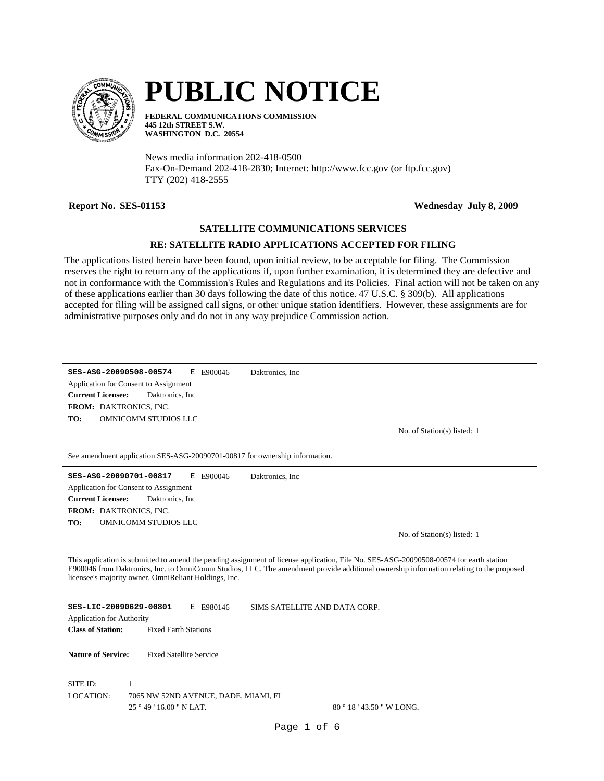

# **PUBLIC NOTICE**

**FEDERAL COMMUNICATIONS COMMISSION 445 12th STREET S.W. WASHINGTON D.C. 20554**

News media information 202-418-0500 Fax-On-Demand 202-418-2830; Internet: http://www.fcc.gov (or ftp.fcc.gov) TTY (202) 418-2555

**Report No. SES-01153 Wednesday July 8, 2009**

# **SATELLITE COMMUNICATIONS SERVICES**

# **RE: SATELLITE RADIO APPLICATIONS ACCEPTED FOR FILING**

The applications listed herein have been found, upon initial review, to be acceptable for filing. The Commission reserves the right to return any of the applications if, upon further examination, it is determined they are defective and not in conformance with the Commission's Rules and Regulations and its Policies. Final action will not be taken on any of these applications earlier than 30 days following the date of this notice. 47 U.S.C. § 309(b). All applications accepted for filing will be assigned call signs, or other unique station identifiers. However, these assignments are for administrative purposes only and do not in any way prejudice Commission action.

**SES-ASG-20090508-00574** E E900046 **TO: FROM:** DAKTRONICS, INC. **Current Licensee:** OMNICOMM STUDIOS LLC Daktronics, Inc Application for Consent to Assignment Daktronics, Inc

No. of Station(s) listed: 1

See amendment application SES-ASG-20090701-00817 for ownership information.

**SES-ASG-20090701-00817** E E900046 **TO: FROM:** DAKTRONICS, INC. **Current Licensee:** OMNICOMM STUDIOS LLC Daktronics, Inc Application for Consent to Assignment Daktronics, Inc

No. of Station(s) listed: 1

This application is submitted to amend the pending assignment of license application, File No. SES-ASG-20090508-00574 for earth station E900046 from Daktronics, Inc. to OmniComm Studios, LLC. The amendment provide additional ownership information relating to the proposed licensee's majority owner, OmniReliant Holdings, Inc.

**SES-LIC-20090629-00801** E E980146 **Class of Station:** Fixed Earth Stations Application for Authority SIMS SATELLITE AND DATA CORP. **Nature of Service:** Fixed Satellite Service 25 ° 49 ' 16.00 " N LAT. SITE ID: 1 7065 NW 52ND AVENUE, DADE, MIAMI, FL 80 ° 18 ' 43.50 " W LONG. LOCATION: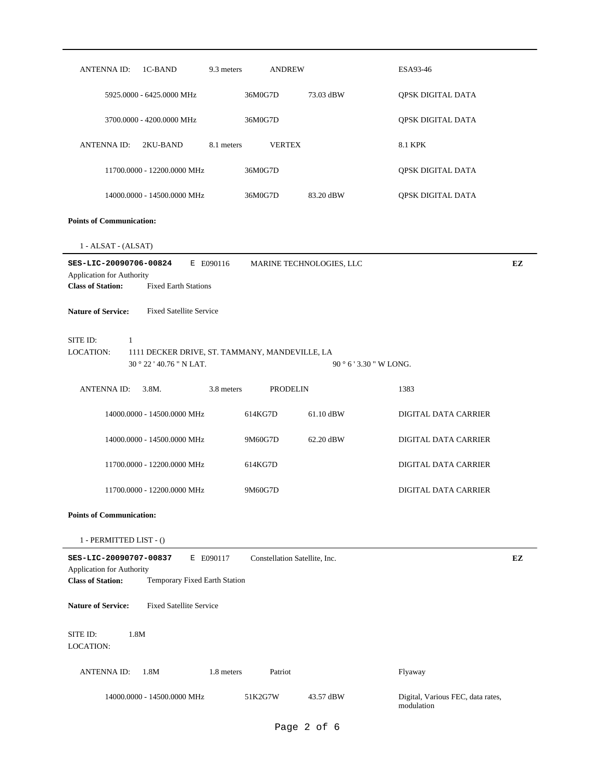| <b>ANTENNAID:</b><br>1C-BAND<br>9.3 meters                                                                                    | <b>ANDREW</b>                 |                                 | ESA93-46                                        |    |
|-------------------------------------------------------------------------------------------------------------------------------|-------------------------------|---------------------------------|-------------------------------------------------|----|
| 5925.0000 - 6425.0000 MHz                                                                                                     | 36M0G7D                       | 73.03 dBW                       | QPSK DIGITAL DATA                               |    |
| 3700.0000 - 4200.0000 MHz                                                                                                     | 36M0G7D                       |                                 | QPSK DIGITAL DATA                               |    |
| <b>ANTENNA ID:</b><br>2KU-BAND<br>8.1 meters                                                                                  | <b>VERTEX</b>                 |                                 | 8.1 KPK                                         |    |
| 11700.0000 - 12200.0000 MHz                                                                                                   | 36M0G7D                       |                                 | QPSK DIGITAL DATA                               |    |
| 14000.0000 - 14500.0000 MHz                                                                                                   | 36M0G7D                       | 83.20 dBW                       | QPSK DIGITAL DATA                               |    |
| <b>Points of Communication:</b>                                                                                               |                               |                                 |                                                 |    |
| 1 - ALSAT - (ALSAT)                                                                                                           |                               |                                 |                                                 |    |
| SES-LIC-20090706-00824<br>E E090116<br>Application for Authority<br><b>Class of Station:</b><br><b>Fixed Earth Stations</b>   |                               | MARINE TECHNOLOGIES, LLC        |                                                 | EZ |
| <b>Nature of Service:</b><br><b>Fixed Satellite Service</b>                                                                   |                               |                                 |                                                 |    |
| SITE ID:<br>1<br>LOCATION:<br>1111 DECKER DRIVE, ST. TAMMANY, MANDEVILLE, LA<br>30 ° 22 ' 40.76 " N LAT.                      |                               | $90^{\circ}$ 6 ' 3.30 " W LONG. |                                                 |    |
| 3.8M.<br>3.8 meters<br><b>ANTENNA ID:</b>                                                                                     | <b>PRODELIN</b>               |                                 | 1383                                            |    |
| 14000.0000 - 14500.0000 MHz                                                                                                   | 614KG7D                       | 61.10 dBW                       | DIGITAL DATA CARRIER                            |    |
| 14000.0000 - 14500.0000 MHz                                                                                                   | 9M60G7D                       | 62.20 dBW                       | DIGITAL DATA CARRIER                            |    |
| 11700.0000 - 12200.0000 MHz                                                                                                   | 614KG7D                       |                                 | DIGITAL DATA CARRIER                            |    |
| 11700.0000 - 12200.0000 MHz                                                                                                   | 9M60G7D                       |                                 | DIGITAL DATA CARRIER                            |    |
| <b>Points of Communication:</b>                                                                                               |                               |                                 |                                                 |    |
| 1 - PERMITTED LIST - ()                                                                                                       |                               |                                 |                                                 |    |
| SES-LIC-20090707-00837<br>E E090117<br>Application for Authority<br><b>Class of Station:</b><br>Temporary Fixed Earth Station | Constellation Satellite, Inc. |                                 |                                                 | EZ |
| <b>Nature of Service:</b><br><b>Fixed Satellite Service</b>                                                                   |                               |                                 |                                                 |    |
| 1.8M<br>SITE ID:<br>LOCATION:                                                                                                 |                               |                                 |                                                 |    |
| <b>ANTENNAID:</b><br>1.8M<br>1.8 meters                                                                                       | Patriot                       |                                 | Flyaway                                         |    |
| 14000.0000 - 14500.0000 MHz                                                                                                   | 51K2G7W                       | 43.57 dBW                       | Digital, Various FEC, data rates,<br>modulation |    |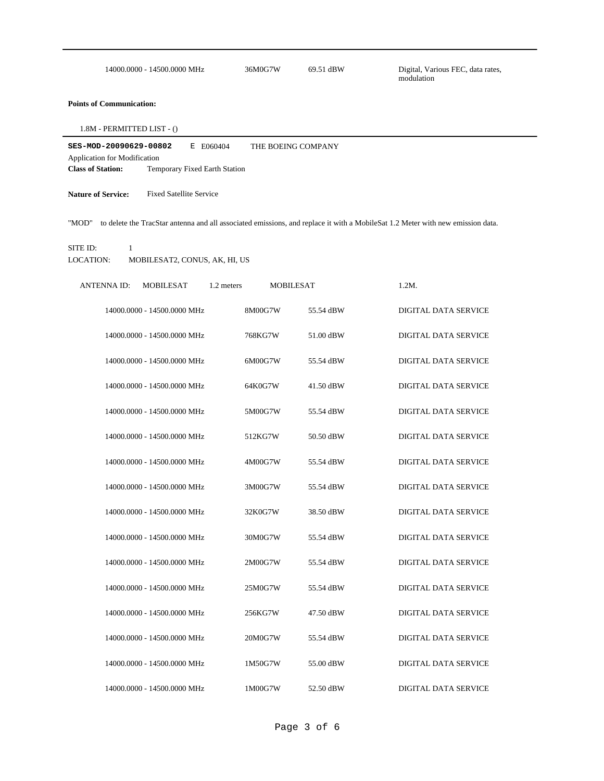|  | 14000.0000 - 14500.0000 MHz | 36M0G7W | 69.51 dBW |  |
|--|-----------------------------|---------|-----------|--|
|--|-----------------------------|---------|-----------|--|

Digital, Various FEC, data rates, modulation

# **Points of Communication:**

1.8M - PERMITTED LIST - ()

| SES-MOD-20090629-00802<br>E F060404 |  |  | THE BOEING COMPANY            |  |
|-------------------------------------|--|--|-------------------------------|--|
| Application for Modification        |  |  |                               |  |
| <b>Class of Station:</b>            |  |  | Temporary Fixed Earth Station |  |

**Nature of Service:** Fixed Satellite Service

"MOD" to delete the TracStar antenna and all associated emissions, and replace it with a MobileSat 1.2 Meter with new emission data.

#### SITE ID: 1

LOCATION: MOBILESAT2, CONUS, AK, HI, US

| <b>ANTENNA ID:</b> | <b>MOBILESAT</b>            | 1.2 meters | <b>MOBILESAT</b> | $1.2M$ . |                             |
|--------------------|-----------------------------|------------|------------------|----------|-----------------------------|
|                    | 14000.0000 - 14500.0000 MHz | 8M00G7W    | 55.54 dBW        |          | <b>DIGITAL DATA SERVICE</b> |
|                    | 14000.0000 - 14500.0000 MHz | 768KG7W    | 51.00 dBW        |          | <b>DIGITAL DATA SERVICE</b> |
|                    | 14000.0000 - 14500.0000 MHz | 6M00G7W    | 55.54 dBW        |          | DIGITAL DATA SERVICE        |
|                    | 14000.0000 - 14500.0000 MHz | 64K0G7W    | 41.50 dBW        |          | <b>DIGITAL DATA SERVICE</b> |
|                    | 14000.0000 - 14500.0000 MHz | 5M00G7W    | 55.54 dBW        |          | <b>DIGITAL DATA SERVICE</b> |
|                    | 14000.0000 - 14500.0000 MHz | 512KG7W    | 50.50 dBW        |          | <b>DIGITAL DATA SERVICE</b> |
|                    | 14000.0000 - 14500.0000 MHz | 4M00G7W    | 55.54 dBW        |          | <b>DIGITAL DATA SERVICE</b> |
|                    | 14000.0000 - 14500.0000 MHz | 3M00G7W    | 55.54 dBW        |          | <b>DIGITAL DATA SERVICE</b> |
|                    | 14000.0000 - 14500.0000 MHz | 32K0G7W    | 38.50 dBW        |          | <b>DIGITAL DATA SERVICE</b> |
|                    | 14000.0000 - 14500.0000 MHz | 30M0G7W    | 55.54 dBW        |          | DIGITAL DATA SERVICE        |
|                    | 14000.0000 - 14500.0000 MHz | 2M00G7W    | 55.54 dBW        |          | <b>DIGITAL DATA SERVICE</b> |
|                    | 14000.0000 - 14500.0000 MHz | 25M0G7W    | 55.54 dBW        |          | <b>DIGITAL DATA SERVICE</b> |
|                    | 14000.0000 - 14500.0000 MHz | 256KG7W    | 47.50 dBW        |          | <b>DIGITAL DATA SERVICE</b> |
|                    | 14000.0000 - 14500.0000 MHz | 20M0G7W    | 55.54 dBW        |          | <b>DIGITAL DATA SERVICE</b> |
|                    | 14000.0000 - 14500.0000 MHz | 1M50G7W    | 55.00 dBW        |          | <b>DIGITAL DATA SERVICE</b> |
|                    | 14000.0000 - 14500.0000 MHz | 1M00G7W    | 52.50 dBW        |          | DIGITAL DATA SERVICE        |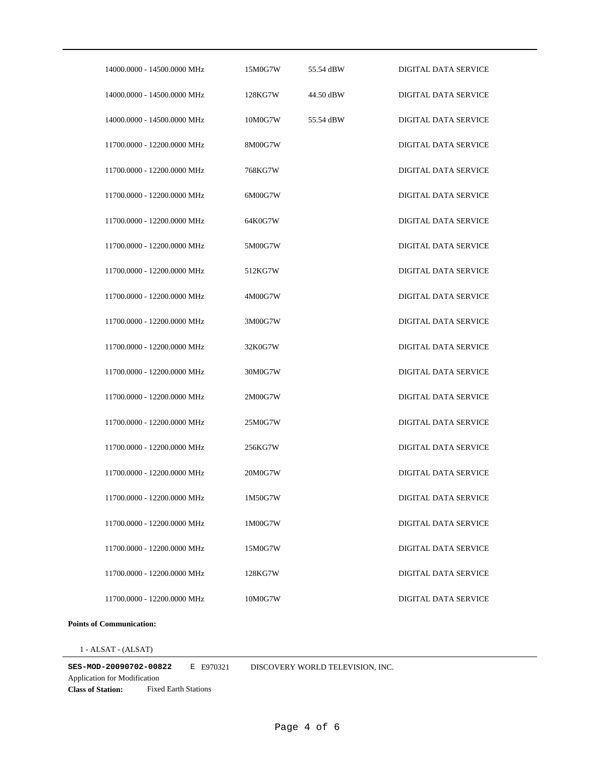| 14000.0000 - 14500.0000 MHz | 15M0G7W | 55.54 dBW | <b>DIGITAL DATA SERVICE</b> |
|-----------------------------|---------|-----------|-----------------------------|
| 14000.0000 - 14500.0000 MHz | 128KG7W | 44.50 dBW | <b>DIGITAL DATA SERVICE</b> |
| 14000.0000 - 14500.0000 MHz | 10M0G7W | 55.54 dBW | <b>DIGITAL DATA SERVICE</b> |
| 11700.0000 - 12200.0000 MHz | 8M00G7W |           | <b>DIGITAL DATA SERVICE</b> |
| 11700.0000 - 12200.0000 MHz | 768KG7W |           | <b>DIGITAL DATA SERVICE</b> |
| 11700.0000 - 12200.0000 MHz | 6M00G7W |           | DIGITAL DATA SERVICE        |
| 11700.0000 - 12200.0000 MHz | 64K0G7W |           | <b>DIGITAL DATA SERVICE</b> |
| 11700.0000 - 12200.0000 MHz | 5M00G7W |           | <b>DIGITAL DATA SERVICE</b> |
| 11700.0000 - 12200.0000 MHz | 512KG7W |           | <b>DIGITAL DATA SERVICE</b> |
| 11700.0000 - 12200.0000 MHz | 4M00G7W |           | DIGITAL DATA SERVICE        |
| 11700.0000 - 12200.0000 MHz | 3M00G7W |           | DIGITAL DATA SERVICE        |
| 11700.0000 - 12200.0000 MHz | 32K0G7W |           | DIGITAL DATA SERVICE        |
| 11700.0000 - 12200.0000 MHz | 30M0G7W |           | DIGITAL DATA SERVICE        |
| 11700.0000 - 12200.0000 MHz | 2M00G7W |           | DIGITAL DATA SERVICE        |
| 11700.0000 - 12200.0000 MHz | 25M0G7W |           | DIGITAL DATA SERVICE        |
| 11700.0000 - 12200.0000 MHz | 256KG7W |           | DIGITAL DATA SERVICE        |
| 11700.0000 - 12200.0000 MHz | 20M0G7W |           | DIGITAL DATA SERVICE        |
| 11700.0000 - 12200.0000 MHz | 1M50G7W |           | DIGITAL DATA SERVICE        |
| 11700.0000 - 12200.0000 MHz | 1M00G7W |           | DIGITAL DATA SERVICE        |
| 11700.0000 - 12200.0000 MHz | 15M0G7W |           | DIGITAL DATA SERVICE        |
| 11700.0000 - 12200.0000 MHz | 128KG7W |           | DIGITAL DATA SERVICE        |
| 11700.0000 - 12200.0000 MHz | 10M0G7W |           | <b>DIGITAL DATA SERVICE</b> |

# **Points of Communication:**

1 - ALSAT - (ALSAT)

**SES-MOD-20090702-00822** E E970321 DISCOVERY WORLD TELEVISION, INC.

**Class of Station:** Fixed Earth Stations Application for Modification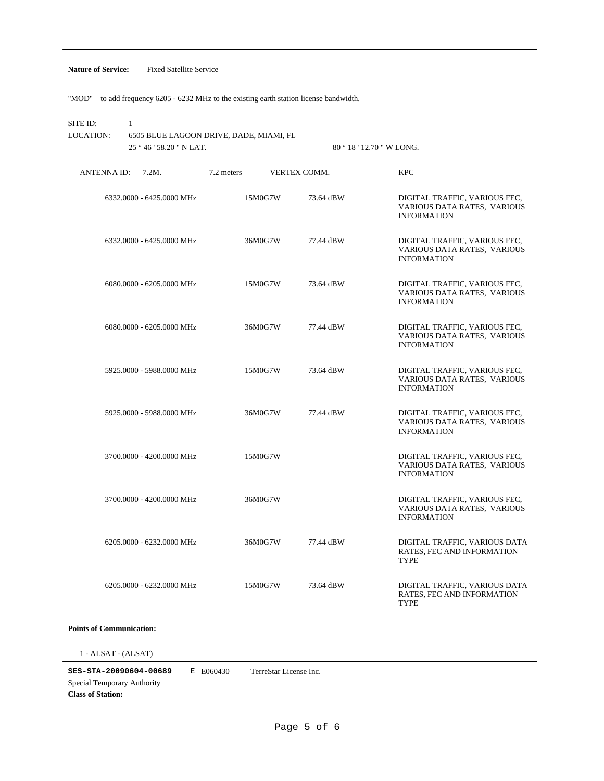### **Nature of Service:** Fixed Satellite Service

"MOD" to add frequency 6205 - 6232 MHz to the existing earth station license bandwidth.

SITE ID: 1

25 ° 46 ' 58.20 " N LAT. 6505 BLUE LAGOON DRIVE, DADE, MIAMI, FL LOCATION:

80 ° 18 ' 12.70 " W LONG.

| ANTENNA ID: | 7.2M.                     | 7.2 meters |         | VERTEX COMM. | <b>KPC</b>                                                                         |
|-------------|---------------------------|------------|---------|--------------|------------------------------------------------------------------------------------|
|             | 6332.0000 - 6425.0000 MHz |            | 15M0G7W | 73.64 dBW    | DIGITAL TRAFFIC, VARIOUS FEC,<br>VARIOUS DATA RATES, VARIOUS<br><b>INFORMATION</b> |
|             | 6332.0000 - 6425.0000 MHz |            | 36M0G7W | 77.44 dBW    | DIGITAL TRAFFIC, VARIOUS FEC,<br>VARIOUS DATA RATES, VARIOUS<br><b>INFORMATION</b> |
|             | 6080.0000 - 6205.0000 MHz |            | 15M0G7W | 73.64 dBW    | DIGITAL TRAFFIC, VARIOUS FEC,<br>VARIOUS DATA RATES, VARIOUS<br><b>INFORMATION</b> |
|             | 6080.0000 - 6205.0000 MHz |            | 36M0G7W | 77.44 dBW    | DIGITAL TRAFFIC, VARIOUS FEC,<br>VARIOUS DATA RATES, VARIOUS<br><b>INFORMATION</b> |
|             | 5925,0000 - 5988,0000 MHz |            | 15M0G7W | 73.64 dBW    | DIGITAL TRAFFIC, VARIOUS FEC,<br>VARIOUS DATA RATES, VARIOUS<br><b>INFORMATION</b> |
|             | 5925,0000 - 5988,0000 MHz |            | 36M0G7W | 77.44 dBW    | DIGITAL TRAFFIC, VARIOUS FEC,<br>VARIOUS DATA RATES, VARIOUS<br><b>INFORMATION</b> |
|             | 3700.0000 - 4200.0000 MHz | 15M0G7W    |         |              | DIGITAL TRAFFIC, VARIOUS FEC,<br>VARIOUS DATA RATES, VARIOUS<br><b>INFORMATION</b> |
|             | 3700.0000 - 4200.0000 MHz | 36M0G7W    |         |              | DIGITAL TRAFFIC, VARIOUS FEC,<br>VARIOUS DATA RATES, VARIOUS<br><b>INFORMATION</b> |
|             | 6205.0000 - 6232.0000 MHz |            | 36M0G7W | 77.44 dBW    | DIGITAL TRAFFIC, VARIOUS DATA<br>RATES, FEC AND INFORMATION<br><b>TYPE</b>         |
|             | 6205.0000 - 6232.0000 MHz |            | 15M0G7W | 73.64 dBW    | DIGITAL TRAFFIC, VARIOUS DATA<br>RATES, FEC AND INFORMATION<br>TYPE                |

# **Points of Communication:**

 $1$  -  $\operatorname{ALSAT}$  -  $(\operatorname{ALSAT})$ 

**SES-STA-20090604-00689** E E060430 Special Temporary Authority TerreStar License Inc.

**Class of Station:**